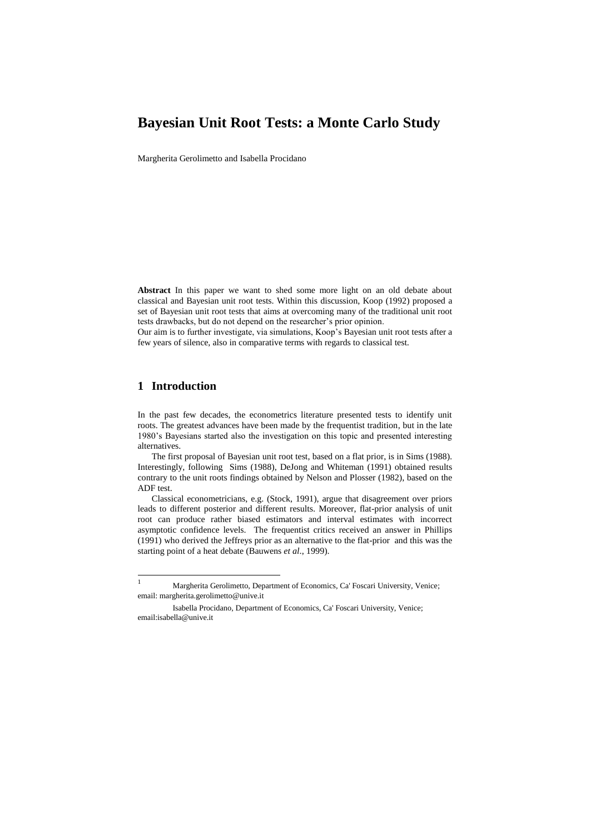# **Bayesian Unit Root Tests: a Monte Carlo Study**

Margherita Gerolimetto and Isabella Procidano

**Abstract** In this paper we want to shed some more light on an old debate about classical and Bayesian unit root tests. Within this discussion, Koop (1992) proposed a set of Bayesian unit root tests that aims at overcoming many of the traditional unit root tests drawbacks, but do not depend on the researcher's prior opinion.

Our aim is to further investigate, via simulations, Koop's Bayesian unit root tests after a few years of silence, also in comparative terms with regards to classical test.

#### **1 Introduction**

In the past few decades, the econometrics literature presented tests to identify unit roots. The greatest advances have been made by the frequentist tradition, but in the late 1980's Bayesians started also the investigation on this topic and presented interesting alternatives.

The first proposal of Bayesian unit root test, based on a flat prior, is in Sims (1988). Interestingly, following Sims (1988), DeJong and Whiteman (1991) obtained results contrary to the unit roots findings obtained by Nelson and Plosser (1982), based on the ADF test.

Classical econometricians, e.g. (Stock, 1991), argue that disagreement over priors leads to different posterior and different results. Moreover, flat-prior analysis of unit root can produce rather biased estimators and interval estimates with incorrect asymptotic confidence levels. The frequentist critics received an answer in Phillips (1991) who derived the Jeffreys prior as an alternative to the flat-prior and this was the starting point of a heat debate (Bauwens *et al*., 1999).

 $\mathbf{1}$ <sup>1</sup> Margherita Gerolimetto, Department of Economics, Ca' Foscari University, Venice; email: margherita.gerolimetto@unive.it

Isabella Procidano, Department of Economics, Ca' Foscari University, Venice; email:isabella@unive.it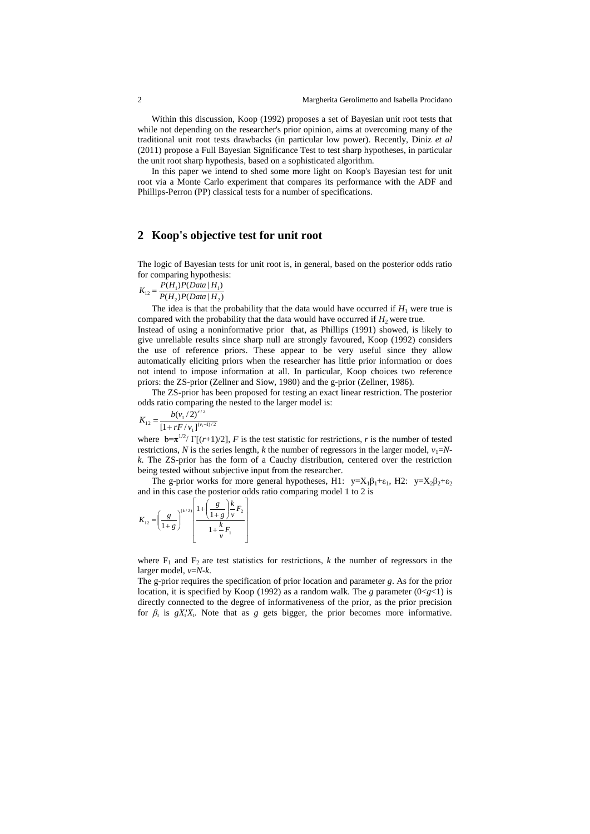Within this discussion, Koop (1992) proposes a set of Bayesian unit root tests that while not depending on the researcher's prior opinion, aims at overcoming many of the traditional unit root tests drawbacks (in particular low power). Recently, Diniz *et al* (2011) propose a Full Bayesian Significance Test to test sharp hypotheses, in particular the unit root sharp hypothesis, based on a sophisticated algorithm.

In this paper we intend to shed some more light on Koop's Bayesian test for unit root via a Monte Carlo experiment that compares its performance with the ADF and Phillips-Perron (PP) classical tests for a number of specifications.

## **2 Koop's objective test for unit root**

The logic of Bayesian tests for unit root is, in general, based on the posterior odds ratio for comparing hypothesis:

$$
K_{12} = \frac{P(H_1)P(Data | H_1)}{P(H_2)P(Data | H_2)}
$$

The idea is that the probability that the data would have occurred if  $H_1$  were true is compared with the probability that the data would have occurred if  $H_2$  were true.

Instead of using a noninformative prior that, as Phillips (1991) showed, is likely to give unreliable results since sharp null are strongly favoured, Koop (1992) considers the use of reference priors. These appear to be very useful since they allow automatically eliciting priors when the researcher has little prior information or does not intend to impose information at all. In particular, Koop choices two reference priors: the ZS-prior (Zellner and Siow, 1980) and the g-prior (Zellner, 1986).

The ZS-prior has been proposed for testing an exact linear restriction. The posterior odds ratio comparing the nested to the larger model is:

$$
K_{12} = \frac{b(v_1/2)^{r/2}}{[1 + rF/v_1]^{(v_1-1)/2}}
$$

where  $b=\pi^{1/2}/\Gamma[(r+1)/2]$ , *F* is the test statistic for restrictions, *r* is the number of tested restrictions, *N* is the series length, *k* the number of regressors in the larger model,  $v_1 = N$ *k*. The ZS-prior has the form of a Cauchy distribution, centered over the restriction being tested without subjective input from the researcher.

The g-prior works for more general hypotheses, H1:  $y=X_1\beta_1+\epsilon_1$ , H2:  $y=X_2\beta_2+\epsilon_2$ and in this case the posterior odds ratio comparing model 1 to 2 is

$$
K_{12} = \left(\frac{g}{1+g}\right)^{(k/2)} \left[\frac{1+\left(\frac{g}{1+g}\right)\frac{k}{\nu}F_2}{1+\frac{k}{\nu}F_1}\right]
$$

where  $F_1$  and  $F_2$  are test statistics for restrictions, *k* the number of regressors in the larger model, *v*=*N-k*.

The g-prior requires the specification of prior location and parameter *g*. As for the prior location, it is specified by Koop (1992) as a random walk. The *g* parameter  $(0 < g < 1)$  is directly connected to the degree of informativeness of the prior, as the prior precision for  $\beta_i$  is  $gX_i'X_i$ . Note that as *g* gets bigger, the prior becomes more informative.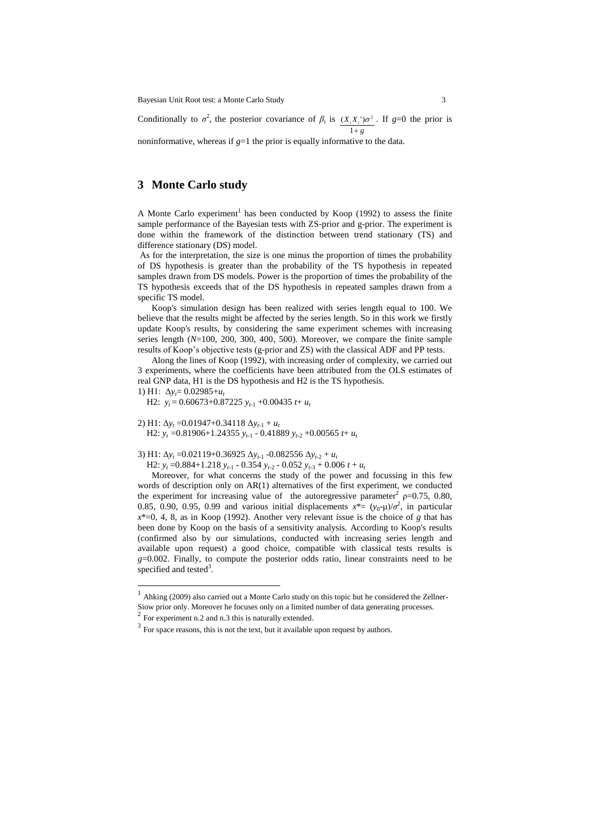Bayesian Unit Root test: a Monte Carlo Study 3

Conditionally to  $\sigma^2$ , the posterior covariance of  $\beta_i$  is  $(X_i X_i) \sigma^2$ . If  $g=0$  the prior is  $1 + g$ 

noninformative, whereas if  $g=1$  the prior is equally informative to the data.

## **3 Monte Carlo study**

A Monte Carlo experiment<sup>1</sup> has been conducted by Koop (1992) to assess the finite sample performance of the Bayesian tests with ZS-prior and g-prior. The experiment is done within the framework of the distinction between trend stationary (TS) and difference stationary (DS) model.

As for the interpretation, the size is one minus the proportion of times the probability of DS hypothesis is greater than the probability of the TS hypothesis in repeated samples drawn from DS models. Power is the proportion of times the probability of the TS hypothesis exceeds that of the DS hypothesis in repeated samples drawn from a specific TS model.

Koop's simulation design has been realized with series length equal to 100. We believe that the results might be affected by the series length. So in this work we firstly update Koop's results, by considering the same experiment schemes with increasing series length (*N*=100, 200, 300, 400, 500). Moreover, we compare the finite sample results of Koop's objective tests (g-prior and ZS) with the classical ADF and PP tests.

Along the lines of Koop (1992), with increasing order of complexity, we carried out 3 experiments, where the coefficients have been attributed from the OLS estimates of real GNP data, H1 is the DS hypothesis and H2 is the TS hypothesis.

1) H1:  $Δy_t= 0.02985+u_t$ 

 $\overline{a}$ 

H2:  $y_t = 0.60673 + 0.87225 y_{t-1} + 0.00435 t + u_t$ 

2) H1:  $\Delta y_t = 0.01947 + 0.34118 \Delta y_{t-1} + u_t$ H2:  $y_t = 0.81906 + 1.24355 y_{t-1} - 0.41889 y_{t-2} + 0.00565 t + u_t$ 

3) H1: Δ*y<sup>t</sup>* =0.02119+0.36925 Δ*yt-*<sup>1</sup> -0.082556 Δ*yt-*<sup>2</sup> + *u<sup>t</sup>*

H2:  $y_t = 0.884 + 1.218 y_{t-1} - 0.354 y_{t-2} - 0.052 y_{t-3} + 0.006 t + u_t$ 

Moreover, for what concerns the study of the power and focussing in this few words of description only on AR(1) alternatives of the first experiment, we conducted the experiment for increasing value of the autoregressive parameter<sup>2</sup>  $p=0.75$ , 0.80, 0.85, 0.90, 0.95, 0.99 and various initial displacements  $x^* = (y_0 - \mu)/\sigma^2$ , in particular  $x^*=0$ , 4, 8, as in Koop (1992). Another very relevant issue is the choice of *g* that has been done by Koop on the basis of a sensitivity analysis. According to Koop's results (confirmed also by our simulations, conducted with increasing series length and available upon request) a good choice, compatible with classical tests results is *g*=0.002. Finally, to compute the posterior odds ratio, linear constraints need to be specified and tested $3$ .

<sup>1</sup> Ahking (2009) also carried out a Monte Carlo study on this topic but he considered the Zellner-Siow prior only. Moreover he focuses only on a limited number of data generating processes.<br><sup>2</sup> For experiment n.2 and n.3 this is naturally extended.

 $3 \text{ For space reasons, this is not the text, but it available upon request by authors.}$